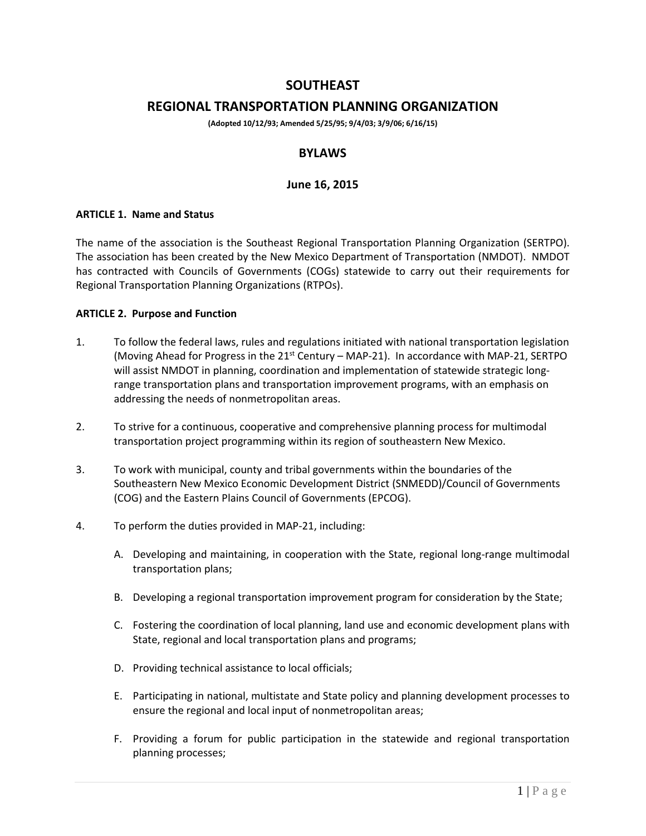# **SOUTHEAST**

# **REGIONAL TRANSPORTATION PLANNING ORGANIZATION**

**(Adopted 10/12/93; Amended 5/25/95; 9/4/03; 3/9/06; 6/16/15)**

## **BYLAWS**

## **June 16, 2015**

#### **ARTICLE 1. Name and Status**

The name of the association is the Southeast Regional Transportation Planning Organization (SERTPO). The association has been created by the New Mexico Department of Transportation (NMDOT). NMDOT has contracted with Councils of Governments (COGs) statewide to carry out their requirements for Regional Transportation Planning Organizations (RTPOs).

#### **ARTICLE 2. Purpose and Function**

- 1. To follow the federal laws, rules and regulations initiated with national transportation legislation (Moving Ahead for Progress in the 21<sup>st</sup> Century – MAP-21). In accordance with MAP-21, SERTPO will assist NMDOT in planning, coordination and implementation of statewide strategic longrange transportation plans and transportation improvement programs, with an emphasis on addressing the needs of nonmetropolitan areas.
- 2. To strive for a continuous, cooperative and comprehensive planning process for multimodal transportation project programming within its region of southeastern New Mexico.
- 3. To work with municipal, county and tribal governments within the boundaries of the Southeastern New Mexico Economic Development District (SNMEDD)/Council of Governments (COG) and the Eastern Plains Council of Governments (EPCOG).
- 4. To perform the duties provided in MAP-21, including:
	- A. Developing and maintaining, in cooperation with the State, regional long-range multimodal transportation plans;
	- B. Developing a regional transportation improvement program for consideration by the State;
	- C. Fostering the coordination of local planning, land use and economic development plans with State, regional and local transportation plans and programs;
	- D. Providing technical assistance to local officials;
	- E. Participating in national, multistate and State policy and planning development processes to ensure the regional and local input of nonmetropolitan areas;
	- F. Providing a forum for public participation in the statewide and regional transportation planning processes;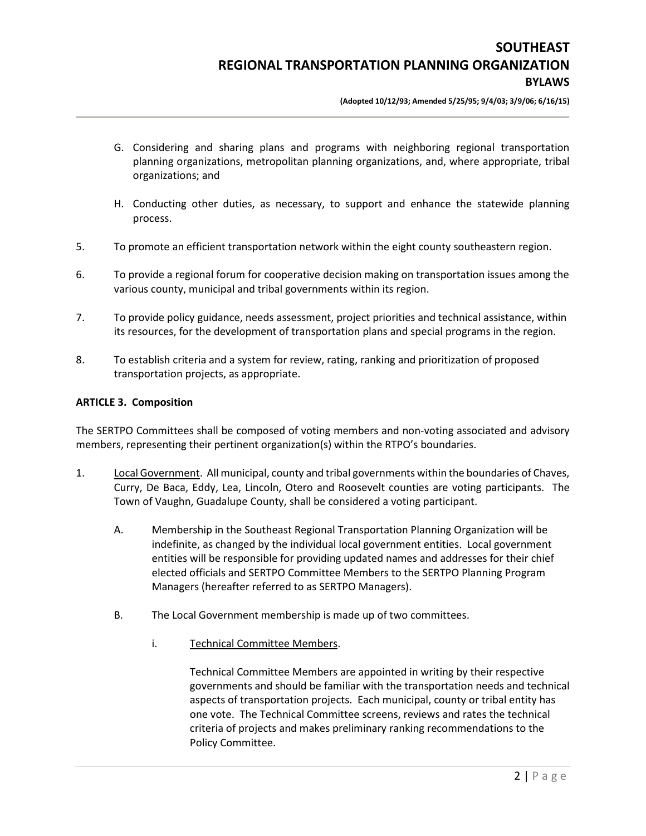**(Adopted 10/12/93; Amended 5/25/95; 9/4/03; 3/9/06; 6/16/15)**

- G. Considering and sharing plans and programs with neighboring regional transportation planning organizations, metropolitan planning organizations, and, where appropriate, tribal organizations; and
- H. Conducting other duties, as necessary, to support and enhance the statewide planning process.
- 5. To promote an efficient transportation network within the eight county southeastern region.
- 6. To provide a regional forum for cooperative decision making on transportation issues among the various county, municipal and tribal governments within its region.
- 7. To provide policy guidance, needs assessment, project priorities and technical assistance, within its resources, for the development of transportation plans and special programs in the region.
- 8. To establish criteria and a system for review, rating, ranking and prioritization of proposed transportation projects, as appropriate.

#### **ARTICLE 3. Composition**

The SERTPO Committees shall be composed of voting members and non-voting associated and advisory members, representing their pertinent organization(s) within the RTPO's boundaries.

- 1. Local Government. All municipal, county and tribal governments within the boundaries of Chaves, Curry, De Baca, Eddy, Lea, Lincoln, Otero and Roosevelt counties are voting participants. The Town of Vaughn, Guadalupe County, shall be considered a voting participant.
	- A. Membership in the Southeast Regional Transportation Planning Organization will be indefinite, as changed by the individual local government entities. Local government entities will be responsible for providing updated names and addresses for their chief elected officials and SERTPO Committee Members to the SERTPO Planning Program Managers (hereafter referred to as SERTPO Managers).
	- B. The Local Government membership is made up of two committees.
		- i. Technical Committee Members.

Technical Committee Members are appointed in writing by their respective governments and should be familiar with the transportation needs and technical aspects of transportation projects. Each municipal, county or tribal entity has one vote. The Technical Committee screens, reviews and rates the technical criteria of projects and makes preliminary ranking recommendations to the Policy Committee.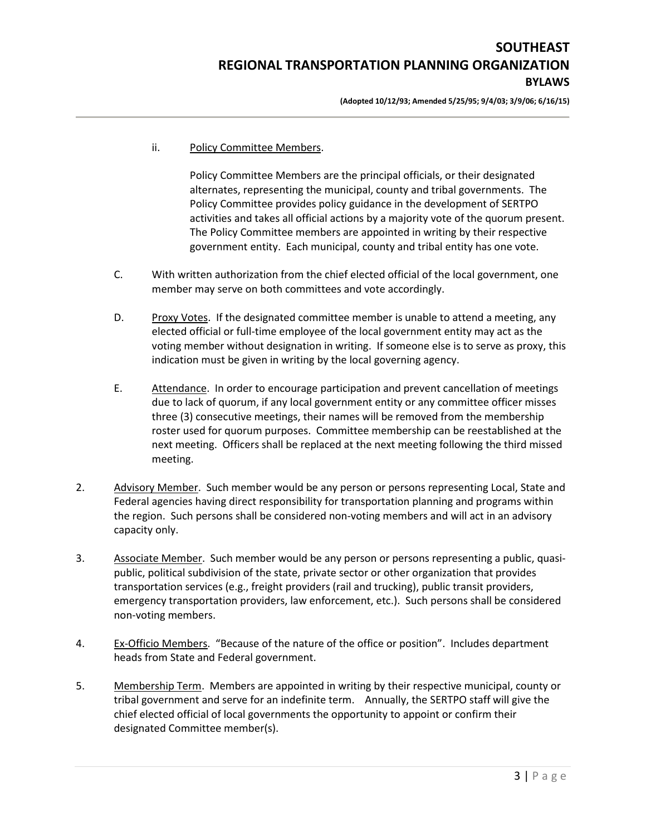# **SOUTHEAST REGIONAL TRANSPORTATION PLANNING ORGANIZATION BYLAWS**

**(Adopted 10/12/93; Amended 5/25/95; 9/4/03; 3/9/06; 6/16/15)**

ii. Policy Committee Members.

Policy Committee Members are the principal officials, or their designated alternates, representing the municipal, county and tribal governments. The Policy Committee provides policy guidance in the development of SERTPO activities and takes all official actions by a majority vote of the quorum present. The Policy Committee members are appointed in writing by their respective government entity. Each municipal, county and tribal entity has one vote.

- C. With written authorization from the chief elected official of the local government, one member may serve on both committees and vote accordingly.
- D. Proxy Votes. If the designated committee member is unable to attend a meeting, any elected official or full-time employee of the local government entity may act as the voting member without designation in writing. If someone else is to serve as proxy, this indication must be given in writing by the local governing agency.
- E. Attendance. In order to encourage participation and prevent cancellation of meetings due to lack of quorum, if any local government entity or any committee officer misses three (3) consecutive meetings, their names will be removed from the membership roster used for quorum purposes. Committee membership can be reestablished at the next meeting. Officers shall be replaced at the next meeting following the third missed meeting.
- 2. Advisory Member. Such member would be any person or persons representing Local, State and Federal agencies having direct responsibility for transportation planning and programs within the region. Such persons shall be considered non-voting members and will act in an advisory capacity only.
- 3. Associate Member. Such member would be any person or persons representing a public, quasipublic, political subdivision of the state, private sector or other organization that provides transportation services (e.g., freight providers (rail and trucking), public transit providers, emergency transportation providers, law enforcement, etc.). Such persons shall be considered non-voting members.
- 4. Ex-Officio Members. "Because of the nature of the office or position". Includes department heads from State and Federal government.
- 5. Membership Term. Members are appointed in writing by their respective municipal, county or tribal government and serve for an indefinite term. Annually, the SERTPO staff will give the chief elected official of local governments the opportunity to appoint or confirm their designated Committee member(s).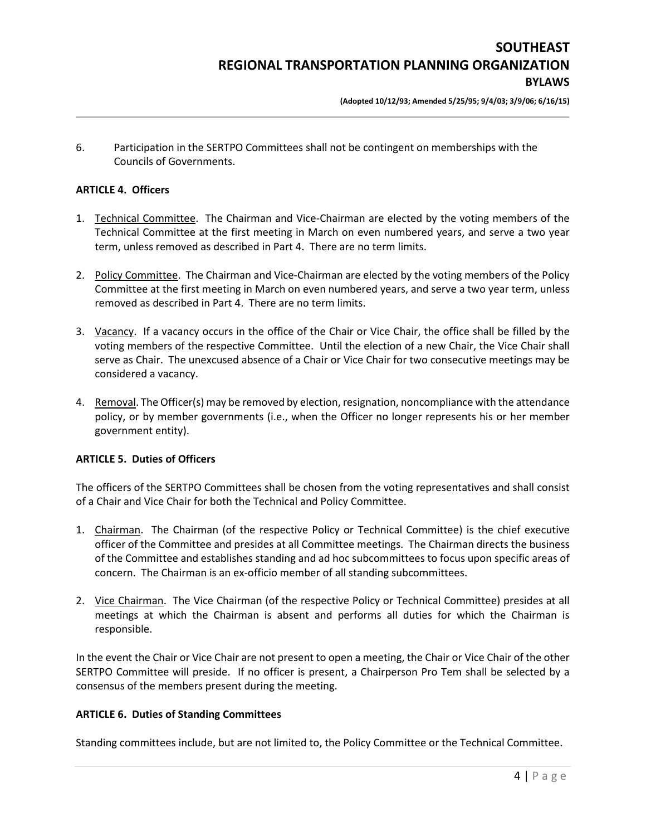6. Participation in the SERTPO Committees shall not be contingent on memberships with the Councils of Governments.

#### **ARTICLE 4. Officers**

- 1. Technical Committee. The Chairman and Vice-Chairman are elected by the voting members of the Technical Committee at the first meeting in March on even numbered years, and serve a two year term, unless removed as described in Part 4. There are no term limits.
- 2. Policy Committee. The Chairman and Vice-Chairman are elected by the voting members of the Policy Committee at the first meeting in March on even numbered years, and serve a two year term, unless removed as described in Part 4. There are no term limits.
- 3. Vacancy. If a vacancy occurs in the office of the Chair or Vice Chair, the office shall be filled by the voting members of the respective Committee. Until the election of a new Chair, the Vice Chair shall serve as Chair. The unexcused absence of a Chair or Vice Chair for two consecutive meetings may be considered a vacancy.
- 4. Removal. The Officer(s) may be removed by election, resignation, noncompliance with the attendance policy, or by member governments (i.e., when the Officer no longer represents his or her member government entity).

## **ARTICLE 5. Duties of Officers**

The officers of the SERTPO Committees shall be chosen from the voting representatives and shall consist of a Chair and Vice Chair for both the Technical and Policy Committee.

- 1. Chairman. The Chairman (of the respective Policy or Technical Committee) is the chief executive officer of the Committee and presides at all Committee meetings. The Chairman directs the business of the Committee and establishes standing and ad hoc subcommittees to focus upon specific areas of concern. The Chairman is an ex-officio member of all standing subcommittees.
- 2. Vice Chairman. The Vice Chairman (of the respective Policy or Technical Committee) presides at all meetings at which the Chairman is absent and performs all duties for which the Chairman is responsible.

In the event the Chair or Vice Chair are not present to open a meeting, the Chair or Vice Chair of the other SERTPO Committee will preside. If no officer is present, a Chairperson Pro Tem shall be selected by a consensus of the members present during the meeting.

## **ARTICLE 6. Duties of Standing Committees**

Standing committees include, but are not limited to, the Policy Committee or the Technical Committee.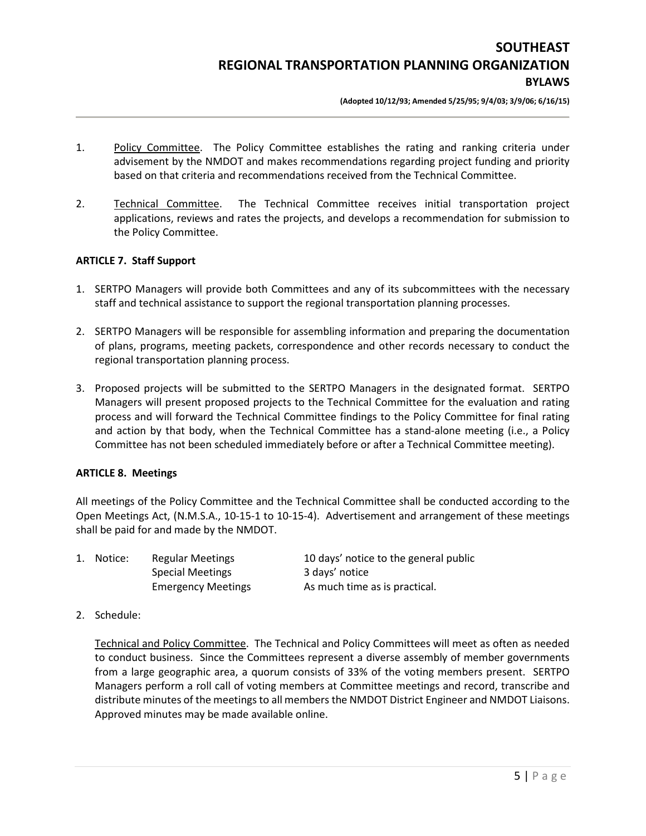**(Adopted 10/12/93; Amended 5/25/95; 9/4/03; 3/9/06; 6/16/15)**

- 1. Policy Committee. The Policy Committee establishes the rating and ranking criteria under advisement by the NMDOT and makes recommendations regarding project funding and priority based on that criteria and recommendations received from the Technical Committee.
- 2. Technical Committee. The Technical Committee receives initial transportation project applications, reviews and rates the projects, and develops a recommendation for submission to the Policy Committee.

## **ARTICLE 7. Staff Support**

- 1. SERTPO Managers will provide both Committees and any of its subcommittees with the necessary staff and technical assistance to support the regional transportation planning processes.
- 2. SERTPO Managers will be responsible for assembling information and preparing the documentation of plans, programs, meeting packets, correspondence and other records necessary to conduct the regional transportation planning process.
- 3. Proposed projects will be submitted to the SERTPO Managers in the designated format. SERTPO Managers will present proposed projects to the Technical Committee for the evaluation and rating process and will forward the Technical Committee findings to the Policy Committee for final rating and action by that body, when the Technical Committee has a stand-alone meeting (i.e., a Policy Committee has not been scheduled immediately before or after a Technical Committee meeting).

## **ARTICLE 8. Meetings**

All meetings of the Policy Committee and the Technical Committee shall be conducted according to the Open Meetings Act, (N.M.S.A., 10-15-1 to 10-15-4). Advertisement and arrangement of these meetings shall be paid for and made by the NMDOT.

| 1. Notice: | Regular Meetings          | 10 days' notice to the general public |
|------------|---------------------------|---------------------------------------|
|            | <b>Special Meetings</b>   | 3 days' notice                        |
|            | <b>Emergency Meetings</b> | As much time as is practical.         |

2. Schedule:

Technical and Policy Committee. The Technical and Policy Committees will meet as often as needed to conduct business. Since the Committees represent a diverse assembly of member governments from a large geographic area, a quorum consists of 33% of the voting members present. SERTPO Managers perform a roll call of voting members at Committee meetings and record, transcribe and distribute minutes of the meetings to all members the NMDOT District Engineer and NMDOT Liaisons. Approved minutes may be made available online.